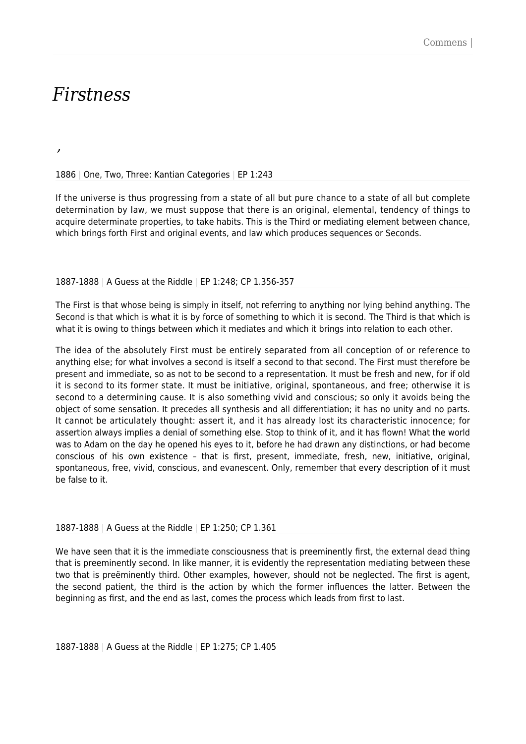# *Firstness*

*,*

1886 | One, Two, Three: Kantian Categories | EP 1:243

If the universe is thus progressing from a state of all but pure chance to a state of all but complete determination by law, we must suppose that there is an original, elemental, tendency of things to acquire determinate properties, to take habits. This is the Third or mediating element between chance, which brings forth First and original events, and law which produces sequences or Seconds.

#### 1887-1888 | A Guess at the Riddle | EP 1:248; CP 1.356-357

The First is that whose being is simply in itself, not referring to anything nor lying behind anything. The Second is that which is what it is by force of something to which it is second. The Third is that which is what it is owing to things between which it mediates and which it brings into relation to each other.

The idea of the absolutely First must be entirely separated from all conception of or reference to anything else; for what involves a second is itself a second to that second. The First must therefore be present and immediate, so as not to be second to a representation. It must be fresh and new, for if old it is second to its former state. It must be initiative, original, spontaneous, and free; otherwise it is second to a determining cause. It is also something vivid and conscious; so only it avoids being the object of some sensation. It precedes all synthesis and all differentiation; it has no unity and no parts. It cannot be articulately thought: assert it, and it has already lost its characteristic innocence; for assertion always implies a denial of something else. Stop to think of it, and it has flown! What the world was to Adam on the day he opened his eyes to it, before he had drawn any distinctions, or had become conscious of his own existence – that is first, present, immediate, fresh, new, initiative, original, spontaneous, free, vivid, conscious, and evanescent. Only, remember that every description of it must be false to it.

#### 1887-1888 | A Guess at the Riddle | EP 1:250; CP 1.361

We have seen that it is the immediate consciousness that is preeminently first, the external dead thing that is preeminently second. In like manner, it is evidently the representation mediating between these two that is preëminently third. Other examples, however, should not be neglected. The first is agent, the second patient, the third is the action by which the former influences the latter. Between the beginning as first, and the end as last, comes the process which leads from first to last.

1887-1888 | A Guess at the Riddle | EP 1:275; CP 1.405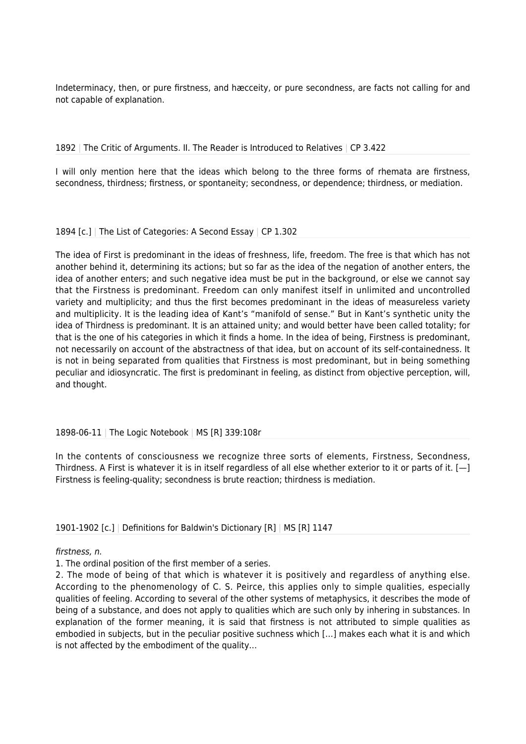Indeterminacy, then, or pure firstness, and hæcceity, or pure secondness, are facts not calling for and not capable of explanation.

# 1892 | The Critic of Arguments. II. The Reader is Introduced to Relatives | CP 3.422

I will only mention here that the ideas which belong to the three forms of rhemata are firstness, secondness, thirdness; firstness, or spontaneity; secondness, or dependence; thirdness, or mediation.

# 1894 [c.] | The List of Categories: A Second Essay | CP 1.302

The idea of First is predominant in the ideas of freshness, life, freedom. The free is that which has not another behind it, determining its actions; but so far as the idea of the negation of another enters, the idea of another enters; and such negative idea must be put in the background, or else we cannot say that the Firstness is predominant. Freedom can only manifest itself in unlimited and uncontrolled variety and multiplicity; and thus the first becomes predominant in the ideas of measureless variety and multiplicity. It is the leading idea of Kant's "manifold of sense." But in Kant's synthetic unity the idea of Thirdness is predominant. It is an attained unity; and would better have been called totality; for that is the one of his categories in which it finds a home. In the idea of being, Firstness is predominant, not necessarily on account of the abstractness of that idea, but on account of its self-containedness. It is not in being separated from qualities that Firstness is most predominant, but in being something peculiar and idiosyncratic. The first is predominant in feeling, as distinct from objective perception, will, and thought.

# 1898-06-11 | The Logic Notebook | MS [R] 339:108r

In the contents of consciousness we recognize three sorts of elements, Firstness, Secondness, Thirdness. A First is whatever it is in itself regardless of all else whether exterior to it or parts of it. [—] Firstness is feeling-quality; secondness is brute reaction; thirdness is mediation.

1901-1902 [c.] | Definitions for Baldwin's Dictionary [R] | MS [R] 1147

# firstness, n.

1. The ordinal position of the first member of a series.

2. The mode of being of that which is whatever it is positively and regardless of anything else. According to the phenomenology of C. S. Peirce, this applies only to simple qualities, especially qualities of feeling. According to several of the other systems of metaphysics, it describes the mode of being of a substance, and does not apply to qualities which are such only by inhering in substances. In explanation of the former meaning, it is said that firstness is not attributed to simple qualities as embodied in subjects, but in the peculiar positive suchness which […] makes each what it is and which is not affected by the embodiment of the quality…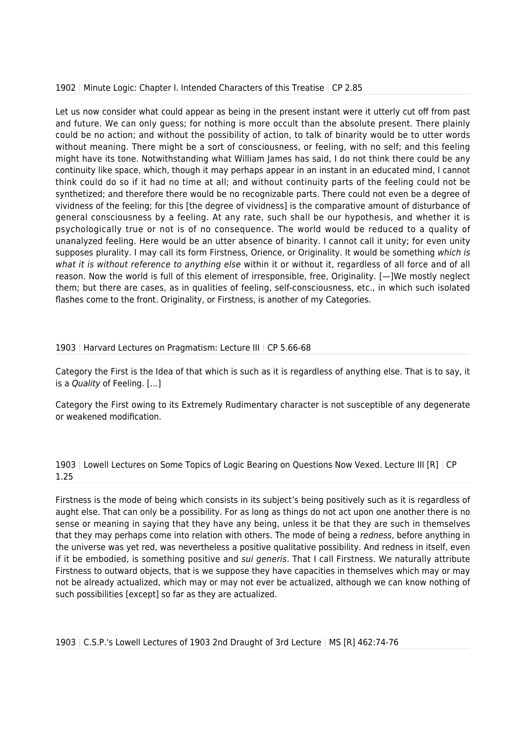# 1902 | Minute Logic: Chapter I. Intended Characters of this Treatise | CP 2.85

Let us now consider what could appear as being in the present instant were it utterly cut off from past and future. We can only guess; for nothing is more occult than the absolute present. There plainly could be no action; and without the possibility of action, to talk of binarity would be to utter words without meaning. There might be a sort of consciousness, or feeling, with no self; and this feeling might have its tone. Notwithstanding what William James has said, I do not think there could be any continuity like space, which, though it may perhaps appear in an instant in an educated mind, I cannot think could do so if it had no time at all; and without continuity parts of the feeling could not be synthetized; and therefore there would be no recognizable parts. There could not even be a degree of vividness of the feeling; for this [the degree of vividness] is the comparative amount of disturbance of general consciousness by a feeling. At any rate, such shall be our hypothesis, and whether it is psychologically true or not is of no consequence. The world would be reduced to a quality of unanalyzed feeling. Here would be an utter absence of binarity. I cannot call it unity; for even unity supposes plurality. I may call its form Firstness, Orience, or Originality. It would be something which is what it is without reference to anything else within it or without it, regardless of all force and of all reason. Now the world is full of this element of irresponsible, free, Originality. [—]We mostly neglect them; but there are cases, as in qualities of feeling, self-consciousness, etc., in which such isolated flashes come to the front. Originality, or Firstness, is another of my Categories.

# 1903 | Harvard Lectures on Pragmatism: Lecture III | CP 5.66-68

Category the First is the Idea of that which is such as it is regardless of anything else. That is to say, it is a Quality of Feeling. […]

Category the First owing to its Extremely Rudimentary character is not susceptible of any degenerate or weakened modification.

# 1903 | Lowell Lectures on Some Topics of Logic Bearing on Questions Now Vexed. Lecture III [R] | CP 1.25

Firstness is the mode of being which consists in its subject's being positively such as it is regardless of aught else. That can only be a possibility. For as long as things do not act upon one another there is no sense or meaning in saying that they have any being, unless it be that they are such in themselves that they may perhaps come into relation with others. The mode of being a redness, before anything in the universe was yet red, was nevertheless a positive qualitative possibility. And redness in itself, even if it be embodied, is something positive and *sui generis*. That I call Firstness. We naturally attribute Firstness to outward objects, that is we suppose they have capacities in themselves which may or may not be already actualized, which may or may not ever be actualized, although we can know nothing of such possibilities [except] so far as they are actualized.

1903 | C.S.P.'s Lowell Lectures of 1903 2nd Draught of 3rd Lecture | MS [R] 462:74-76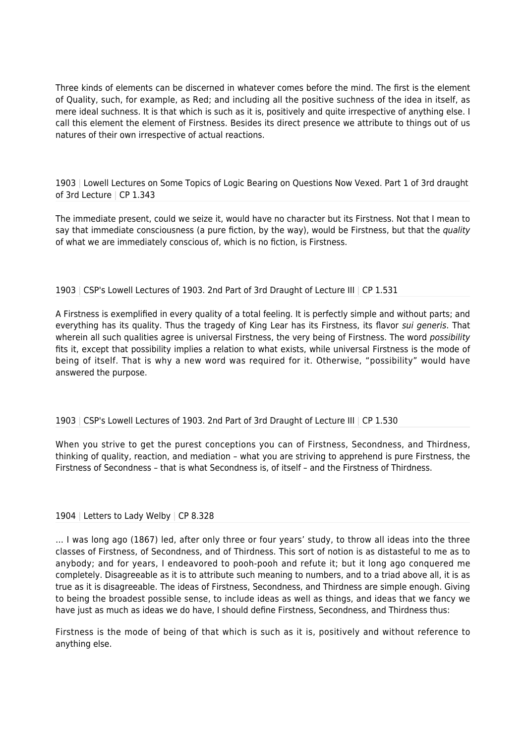Three kinds of elements can be discerned in whatever comes before the mind. The first is the element of Quality, such, for example, as Red; and including all the positive suchness of the idea in itself, as mere ideal suchness. It is that which is such as it is, positively and quite irrespective of anything else. I call this element the element of Firstness. Besides its direct presence we attribute to things out of us natures of their own irrespective of actual reactions.

1903 | Lowell Lectures on Some Topics of Logic Bearing on Questions Now Vexed. Part 1 of 3rd draught of 3rd Lecture | CP 1.343

The immediate present, could we seize it, would have no character but its Firstness. Not that I mean to say that immediate consciousness (a pure fiction, by the way), would be Firstness, but that the *quality* of what we are immediately conscious of, which is no fiction, is Firstness.

# 1903 | CSP's Lowell Lectures of 1903. 2nd Part of 3rd Draught of Lecture III | CP 1.531

A Firstness is exemplified in every quality of a total feeling. It is perfectly simple and without parts; and everything has its quality. Thus the tragedy of King Lear has its Firstness, its flavor sui generis. That wherein all such qualities agree is universal Firstness, the very being of Firstness. The word possibility fits it, except that possibility implies a relation to what exists, while universal Firstness is the mode of being of itself. That is why a new word was required for it. Otherwise, "possibility" would have answered the purpose.

# 1903 | CSP's Lowell Lectures of 1903. 2nd Part of 3rd Draught of Lecture III | CP 1.530

When you strive to get the purest conceptions you can of Firstness, Secondness, and Thirdness, thinking of quality, reaction, and mediation – what you are striving to apprehend is pure Firstness, the Firstness of Secondness – that is what Secondness is, of itself – and the Firstness of Thirdness.

# 1904 | Letters to Lady Welby | CP 8.328

… I was long ago (1867) led, after only three or four years' study, to throw all ideas into the three classes of Firstness, of Secondness, and of Thirdness. This sort of notion is as distasteful to me as to anybody; and for years, I endeavored to pooh-pooh and refute it; but it long ago conquered me completely. Disagreeable as it is to attribute such meaning to numbers, and to a triad above all, it is as true as it is disagreeable. The ideas of Firstness, Secondness, and Thirdness are simple enough. Giving to being the broadest possible sense, to include ideas as well as things, and ideas that we fancy we have just as much as ideas we do have, I should define Firstness, Secondness, and Thirdness thus:

Firstness is the mode of being of that which is such as it is, positively and without reference to anything else.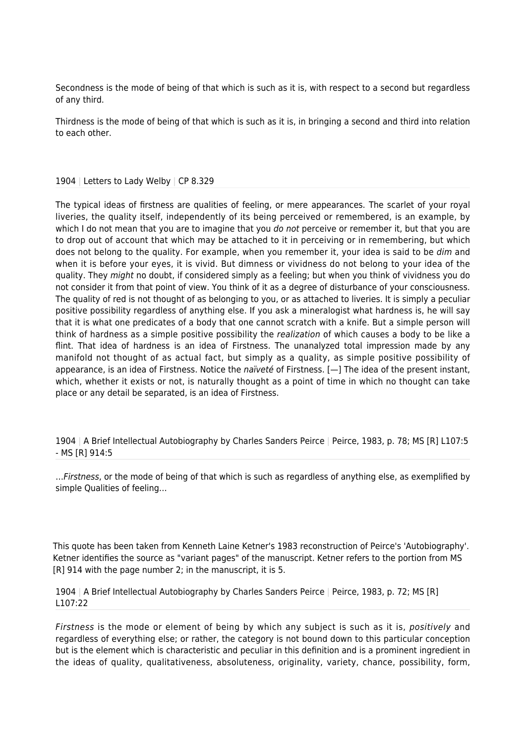Secondness is the mode of being of that which is such as it is, with respect to a second but regardless of any third.

Thirdness is the mode of being of that which is such as it is, in bringing a second and third into relation to each other.

#### 1904 | Letters to Lady Welby | CP 8.329

The typical ideas of firstness are qualities of feeling, or mere appearances. The scarlet of your royal liveries, the quality itself, independently of its being perceived or remembered, is an example, by which I do not mean that you are to imagine that you *do not* perceive or remember it, but that you are to drop out of account that which may be attached to it in perceiving or in remembering, but which does not belong to the quality. For example, when you remember it, your idea is said to be dim and when it is before your eyes, it is vivid. But dimness or vividness do not belong to your idea of the quality. They might no doubt, if considered simply as a feeling; but when you think of vividness you do not consider it from that point of view. You think of it as a degree of disturbance of your consciousness. The quality of red is not thought of as belonging to you, or as attached to liveries. It is simply a peculiar positive possibility regardless of anything else. If you ask a mineralogist what hardness is, he will say that it is what one predicates of a body that one cannot scratch with a knife. But a simple person will think of hardness as a simple positive possibility the *realization* of which causes a body to be like a flint. That idea of hardness is an idea of Firstness. The unanalyzed total impression made by any manifold not thought of as actual fact, but simply as a quality, as simple positive possibility of appearance, is an idea of Firstness. Notice the naïveté of Firstness.  $[-]$  The idea of the present instant, which, whether it exists or not, is naturally thought as a point of time in which no thought can take place or any detail be separated, is an idea of Firstness.

1904 | A Brief Intellectual Autobiography by Charles Sanders Peirce | Peirce, 1983, p. 78; MS [R] L107:5 - MS [R] 914:5

…Firstness, or the mode of being of that which is such as regardless of anything else, as exemplified by simple Qualities of feeling…

This quote has been taken from Kenneth Laine Ketner's 1983 reconstruction of Peirce's 'Autobiography'. Ketner identifies the source as "variant pages" of the manuscript. Ketner refers to the portion from MS [R] 914 with the page number 2; in the manuscript, it is 5.

1904 | A Brief Intellectual Autobiography by Charles Sanders Peirce | Peirce, 1983, p. 72; MS [R] L107:22

Firstness is the mode or element of being by which any subject is such as it is, positively and regardless of everything else; or rather, the category is not bound down to this particular conception but is the element which is characteristic and peculiar in this definition and is a prominent ingredient in the ideas of quality, qualitativeness, absoluteness, originality, variety, chance, possibility, form,